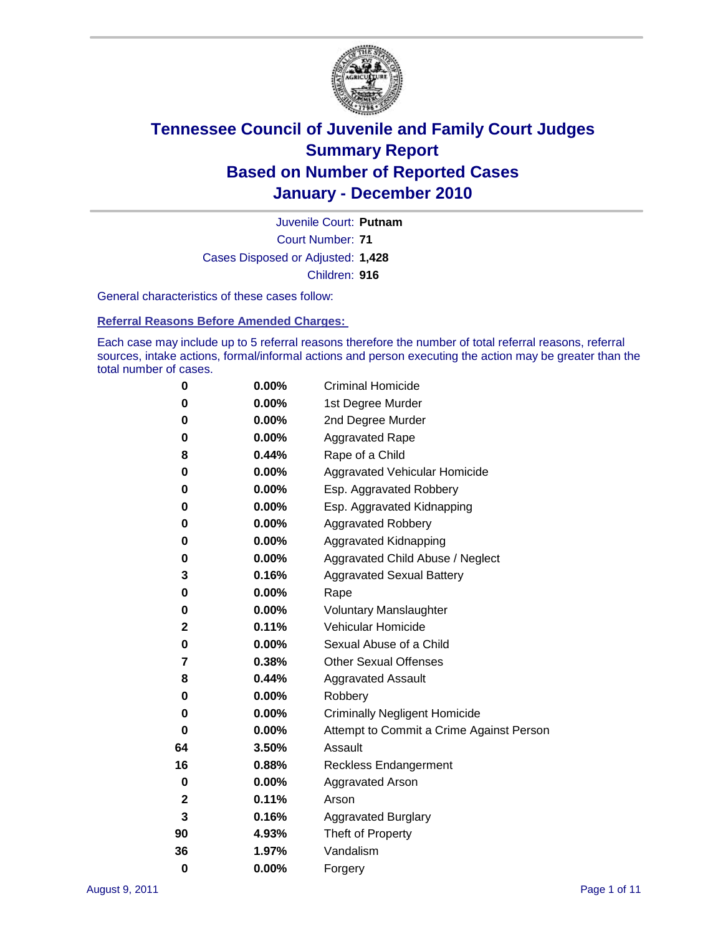

Court Number: **71** Juvenile Court: **Putnam** Cases Disposed or Adjusted: **1,428** Children: **916**

General characteristics of these cases follow:

**Referral Reasons Before Amended Charges:** 

Each case may include up to 5 referral reasons therefore the number of total referral reasons, referral sources, intake actions, formal/informal actions and person executing the action may be greater than the total number of cases.

| 0  | 0.00%    | <b>Criminal Homicide</b>                 |  |  |  |
|----|----------|------------------------------------------|--|--|--|
| 0  | 0.00%    | 1st Degree Murder                        |  |  |  |
| 0  | 0.00%    | 2nd Degree Murder                        |  |  |  |
| 0  | 0.00%    | <b>Aggravated Rape</b>                   |  |  |  |
| 8  | 0.44%    | Rape of a Child                          |  |  |  |
| 0  | 0.00%    | Aggravated Vehicular Homicide            |  |  |  |
| 0  | 0.00%    | Esp. Aggravated Robbery                  |  |  |  |
| 0  | 0.00%    | Esp. Aggravated Kidnapping               |  |  |  |
| 0  | 0.00%    | <b>Aggravated Robbery</b>                |  |  |  |
| 0  | 0.00%    | Aggravated Kidnapping                    |  |  |  |
| 0  | 0.00%    | Aggravated Child Abuse / Neglect         |  |  |  |
| 3  | 0.16%    | <b>Aggravated Sexual Battery</b>         |  |  |  |
| 0  | 0.00%    | Rape                                     |  |  |  |
| 0  | 0.00%    | <b>Voluntary Manslaughter</b>            |  |  |  |
| 2  | 0.11%    | Vehicular Homicide                       |  |  |  |
| 0  | 0.00%    | Sexual Abuse of a Child                  |  |  |  |
| 7  | 0.38%    | <b>Other Sexual Offenses</b>             |  |  |  |
| 8  | 0.44%    | <b>Aggravated Assault</b>                |  |  |  |
| 0  | $0.00\%$ | Robbery                                  |  |  |  |
| 0  | 0.00%    | <b>Criminally Negligent Homicide</b>     |  |  |  |
| 0  | 0.00%    | Attempt to Commit a Crime Against Person |  |  |  |
| 64 | 3.50%    | Assault                                  |  |  |  |
| 16 | 0.88%    | <b>Reckless Endangerment</b>             |  |  |  |
| 0  | 0.00%    | <b>Aggravated Arson</b>                  |  |  |  |
| 2  | 0.11%    | Arson                                    |  |  |  |
| 3  | 0.16%    | <b>Aggravated Burglary</b>               |  |  |  |
| 90 | 4.93%    | Theft of Property                        |  |  |  |
| 36 | 1.97%    | Vandalism                                |  |  |  |
| 0  | 0.00%    | Forgery                                  |  |  |  |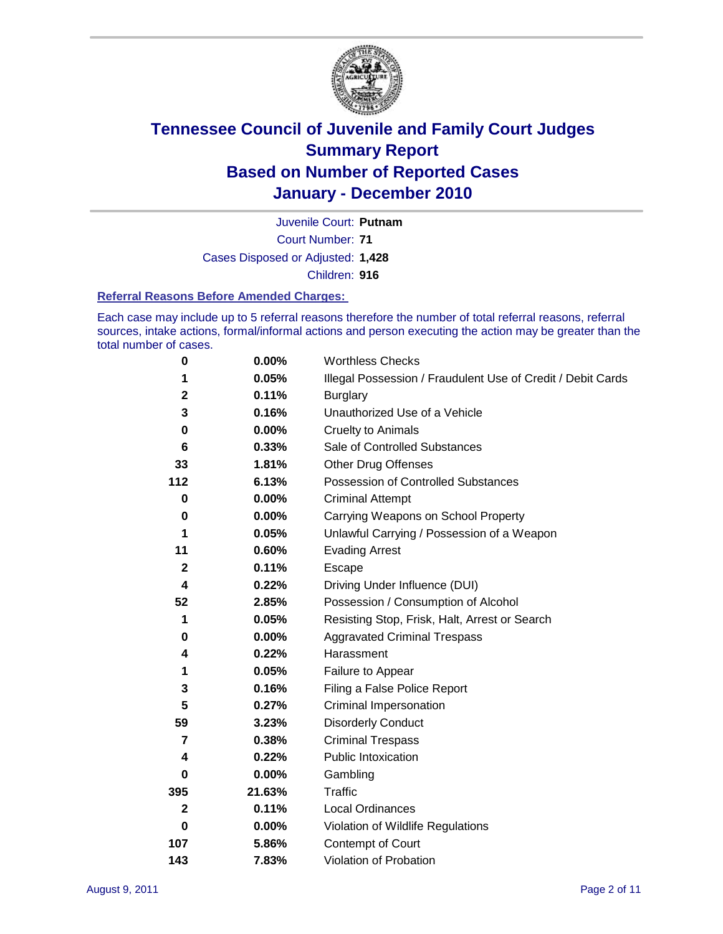

Court Number: **71** Juvenile Court: **Putnam** Cases Disposed or Adjusted: **1,428** Children: **916**

#### **Referral Reasons Before Amended Charges:**

Each case may include up to 5 referral reasons therefore the number of total referral reasons, referral sources, intake actions, formal/informal actions and person executing the action may be greater than the total number of cases.

| $\pmb{0}$        | 0.00%    | <b>Worthless Checks</b>                                     |  |  |
|------------------|----------|-------------------------------------------------------------|--|--|
| 1                | 0.05%    | Illegal Possession / Fraudulent Use of Credit / Debit Cards |  |  |
| $\mathbf 2$      | 0.11%    | <b>Burglary</b>                                             |  |  |
| 3                | 0.16%    | Unauthorized Use of a Vehicle                               |  |  |
| 0                | $0.00\%$ | <b>Cruelty to Animals</b>                                   |  |  |
| 6                | 0.33%    | Sale of Controlled Substances                               |  |  |
| 33               | 1.81%    | <b>Other Drug Offenses</b>                                  |  |  |
| 112              | 6.13%    | Possession of Controlled Substances                         |  |  |
| 0                | $0.00\%$ | <b>Criminal Attempt</b>                                     |  |  |
| 0                | 0.00%    | Carrying Weapons on School Property                         |  |  |
| 1                | 0.05%    | Unlawful Carrying / Possession of a Weapon                  |  |  |
| 11               | 0.60%    | <b>Evading Arrest</b>                                       |  |  |
| $\boldsymbol{2}$ | 0.11%    | Escape                                                      |  |  |
| 4                | 0.22%    | Driving Under Influence (DUI)                               |  |  |
| 52               | 2.85%    | Possession / Consumption of Alcohol                         |  |  |
| 1                | 0.05%    | Resisting Stop, Frisk, Halt, Arrest or Search               |  |  |
| 0                | $0.00\%$ | <b>Aggravated Criminal Trespass</b>                         |  |  |
| 4                | 0.22%    | Harassment                                                  |  |  |
| 1                | 0.05%    | Failure to Appear                                           |  |  |
| 3                | 0.16%    | Filing a False Police Report                                |  |  |
| 5                | 0.27%    | Criminal Impersonation                                      |  |  |
| 59               | 3.23%    | <b>Disorderly Conduct</b>                                   |  |  |
| 7                | 0.38%    | <b>Criminal Trespass</b>                                    |  |  |
| 4                | 0.22%    | <b>Public Intoxication</b>                                  |  |  |
| 0                | $0.00\%$ | Gambling                                                    |  |  |
| 395              | 21.63%   | <b>Traffic</b>                                              |  |  |
| $\mathbf{2}$     | 0.11%    | <b>Local Ordinances</b>                                     |  |  |
| $\bf{0}$         | 0.00%    | Violation of Wildlife Regulations                           |  |  |
| 107              | 5.86%    | Contempt of Court                                           |  |  |
| 143              | 7.83%    | Violation of Probation                                      |  |  |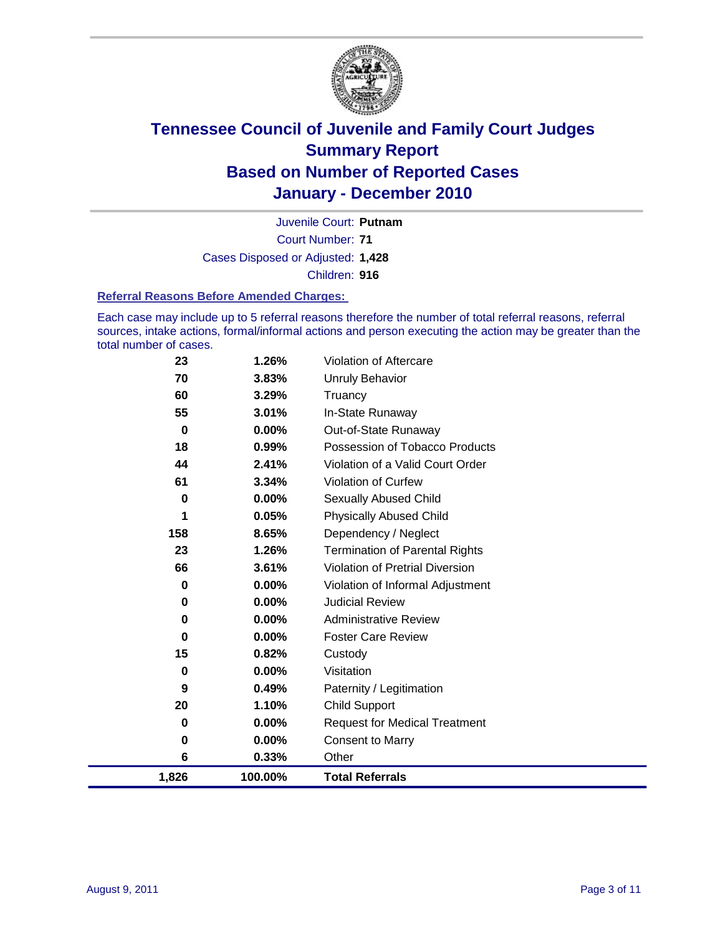

Court Number: **71** Juvenile Court: **Putnam** Cases Disposed or Adjusted: **1,428** Children: **916**

#### **Referral Reasons Before Amended Charges:**

Each case may include up to 5 referral reasons therefore the number of total referral reasons, referral sources, intake actions, formal/informal actions and person executing the action may be greater than the total number of cases.

| 1,826     | 100.00%        | <b>Total Referrals</b>                   |
|-----------|----------------|------------------------------------------|
| 6         | 0.33%          | Other                                    |
| 0         | 0.00%          | <b>Consent to Marry</b>                  |
| 0         | $0.00\%$       | <b>Request for Medical Treatment</b>     |
| 20        | 1.10%          | <b>Child Support</b>                     |
| 9         | 0.49%          | Paternity / Legitimation                 |
| 0         | 0.00%          | Visitation                               |
| 15        | 0.82%          | Custody                                  |
| 0         | $0.00\%$       | <b>Foster Care Review</b>                |
| $\pmb{0}$ | $0.00\%$       | <b>Administrative Review</b>             |
| 0         | 0.00%          | <b>Judicial Review</b>                   |
| 0         | $0.00\%$       | Violation of Informal Adjustment         |
| 66        | 3.61%          | <b>Violation of Pretrial Diversion</b>   |
| 23        | 1.26%          | <b>Termination of Parental Rights</b>    |
| 158       | 8.65%          | Dependency / Neglect                     |
| 1         | 0.05%          | <b>Physically Abused Child</b>           |
| $\pmb{0}$ | 0.00%          | <b>Sexually Abused Child</b>             |
| 61        | 3.34%          | Violation of Curfew                      |
| 44        | 2.41%          | Violation of a Valid Court Order         |
| 18        | $0.99\%$       | Possession of Tobacco Products           |
| 0         | 0.00%          | In-State Runaway<br>Out-of-State Runaway |
| 60<br>55  | 3.29%<br>3.01% | Truancy                                  |
| 70        | 3.83%          | <b>Unruly Behavior</b>                   |
| 23        | 1.26%          | Violation of Aftercare                   |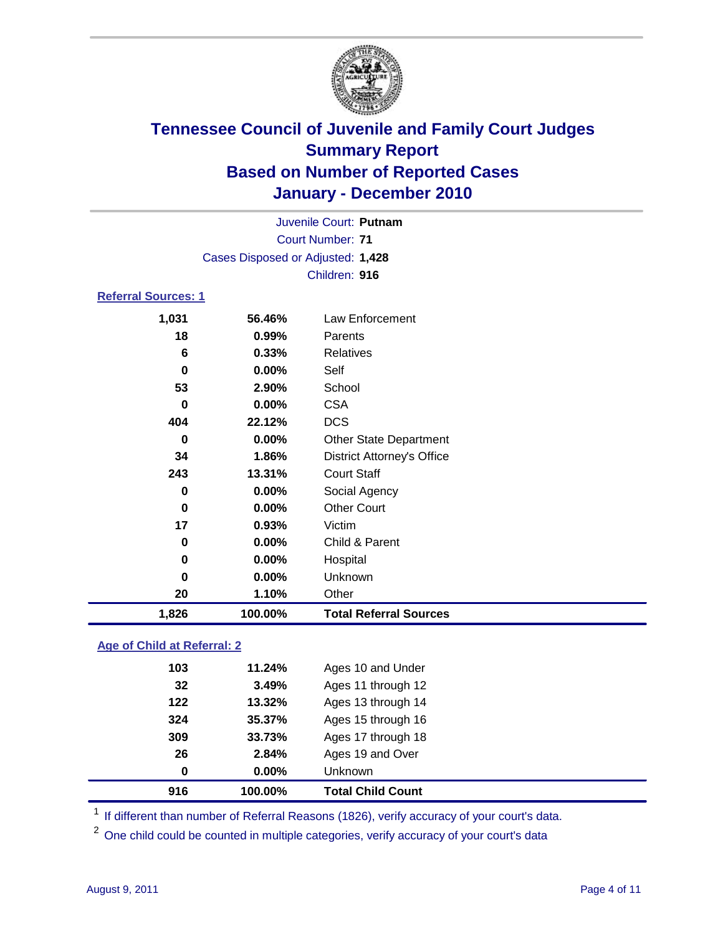

|                            |                                   | Juvenile Court: Putnam            |  |  |  |
|----------------------------|-----------------------------------|-----------------------------------|--|--|--|
| <b>Court Number: 71</b>    |                                   |                                   |  |  |  |
|                            | Cases Disposed or Adjusted: 1,428 |                                   |  |  |  |
|                            |                                   | Children: 916                     |  |  |  |
| <b>Referral Sources: 1</b> |                                   |                                   |  |  |  |
| 1,031                      | 56.46%                            | Law Enforcement                   |  |  |  |
| 18                         | $0.99\%$                          | Parents                           |  |  |  |
| 6                          | 0.33%                             | <b>Relatives</b>                  |  |  |  |
| 0                          | $0.00\%$                          | Self                              |  |  |  |
| 53                         | 2.90%                             | School                            |  |  |  |
| 0                          | $0.00\%$                          | <b>CSA</b>                        |  |  |  |
| 404                        | 22.12%                            | <b>DCS</b>                        |  |  |  |
| 0                          | 0.00%                             | Other State Department            |  |  |  |
| 34                         | 1.86%                             | <b>District Attorney's Office</b> |  |  |  |
| 243                        | 13.31%                            | <b>Court Staff</b>                |  |  |  |
| 0                          | $0.00\%$                          | Social Agency                     |  |  |  |
| $\bf{0}$                   | $0.00\%$                          | <b>Other Court</b>                |  |  |  |
| 17                         | 0.93%                             | Victim                            |  |  |  |
| 0                          | $0.00\%$                          | Child & Parent                    |  |  |  |
| $\bf{0}$                   | 0.00%                             | Hospital                          |  |  |  |
| 0                          | $0.00\%$                          | Unknown                           |  |  |  |
| 20                         | 1.10%                             | Other                             |  |  |  |

#### **Age of Child at Referral: 2**

| 26<br>0 | 2.84%<br>$0.00\%$ | Ages 19 and Over<br><b>Unknown</b> |
|---------|-------------------|------------------------------------|
|         |                   |                                    |
|         |                   |                                    |
| 309     | 33.73%            | Ages 17 through 18                 |
| 324     | 35.37%            | Ages 15 through 16                 |
| 122     | 13.32%            | Ages 13 through 14                 |
| 32      | 3.49%             | Ages 11 through 12                 |
| 103     | 11.24%            | Ages 10 and Under                  |
|         |                   |                                    |

<sup>1</sup> If different than number of Referral Reasons (1826), verify accuracy of your court's data.

<sup>2</sup> One child could be counted in multiple categories, verify accuracy of your court's data

**1,826 100.00% Total Referral Sources**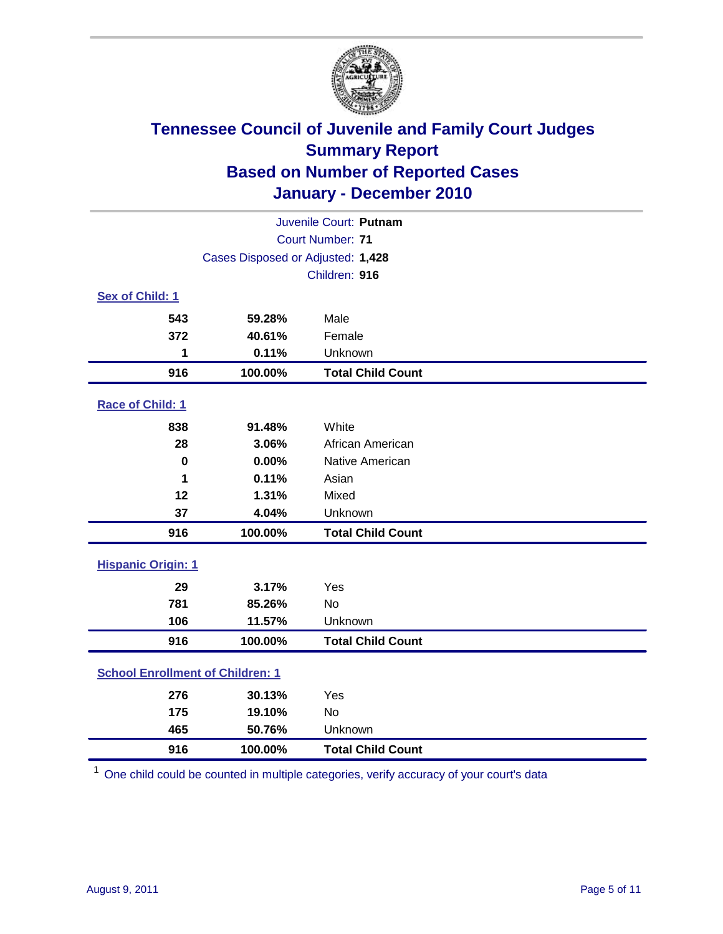

| Juvenile Court: Putnam                  |                                   |                          |  |
|-----------------------------------------|-----------------------------------|--------------------------|--|
| <b>Court Number: 71</b>                 |                                   |                          |  |
|                                         | Cases Disposed or Adjusted: 1,428 |                          |  |
|                                         |                                   | Children: 916            |  |
| Sex of Child: 1                         |                                   |                          |  |
| 543                                     | 59.28%                            | Male                     |  |
| 372                                     | 40.61%                            | Female                   |  |
| 1                                       | 0.11%                             | Unknown                  |  |
| 916                                     | 100.00%                           | <b>Total Child Count</b> |  |
| Race of Child: 1                        |                                   |                          |  |
| 838                                     | 91.48%                            | White                    |  |
| 28                                      | 3.06%                             | African American         |  |
| $\mathbf 0$                             | 0.00%                             | Native American          |  |
| 1                                       | 0.11%                             | Asian                    |  |
| 12                                      | 1.31%                             | Mixed                    |  |
| 37                                      | 4.04%                             | Unknown                  |  |
| 916                                     | 100.00%                           | <b>Total Child Count</b> |  |
| <b>Hispanic Origin: 1</b>               |                                   |                          |  |
| 29                                      | 3.17%                             | Yes                      |  |
| 781                                     | 85.26%                            | <b>No</b>                |  |
| 106                                     | 11.57%                            | Unknown                  |  |
| 916                                     | 100.00%                           | <b>Total Child Count</b> |  |
| <b>School Enrollment of Children: 1</b> |                                   |                          |  |
| 276                                     | 30.13%                            | Yes                      |  |
| 175                                     | 19.10%                            | No                       |  |
| 465                                     | 50.76%                            | Unknown                  |  |
| 916                                     | 100.00%                           | <b>Total Child Count</b> |  |

One child could be counted in multiple categories, verify accuracy of your court's data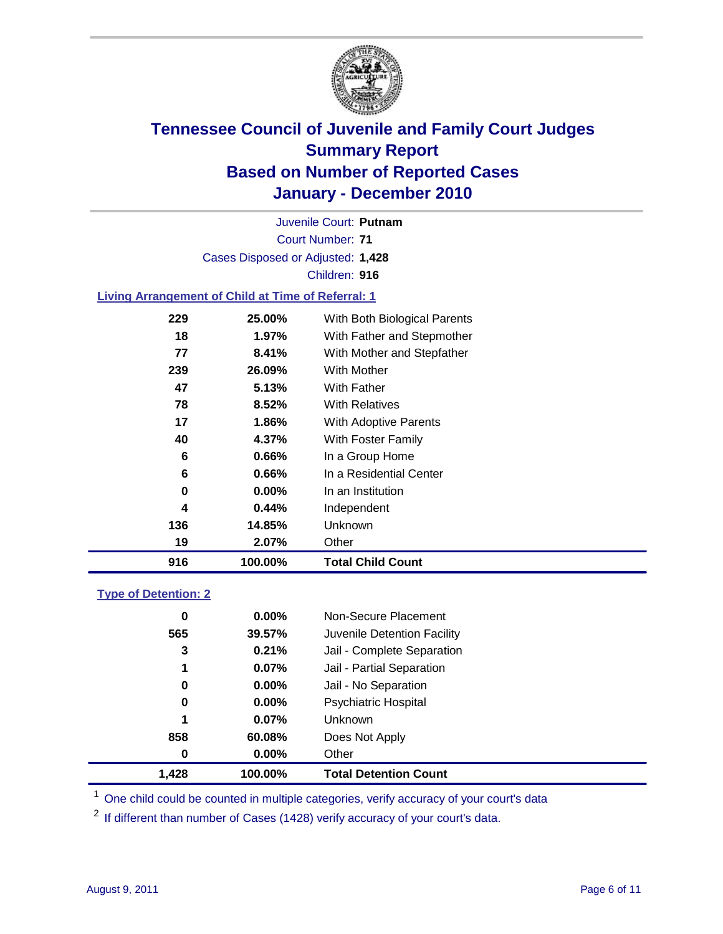

Court Number: **71** Juvenile Court: **Putnam** Cases Disposed or Adjusted: **1,428** Children: **916**

#### **Living Arrangement of Child at Time of Referral: 1**

| 916 | 100.00%  | <b>Total Child Count</b>     |
|-----|----------|------------------------------|
| 19  | 2.07%    | Other                        |
| 136 | 14.85%   | Unknown                      |
| 4   | 0.44%    | Independent                  |
| 0   | $0.00\%$ | In an Institution            |
| 6   | 0.66%    | In a Residential Center      |
| 6   | 0.66%    | In a Group Home              |
| 40  | 4.37%    | With Foster Family           |
| 17  | 1.86%    | With Adoptive Parents        |
| 78  | $8.52\%$ | <b>With Relatives</b>        |
| 47  | 5.13%    | <b>With Father</b>           |
| 239 | 26.09%   | <b>With Mother</b>           |
| 77  | 8.41%    | With Mother and Stepfather   |
| 18  | $1.97\%$ | With Father and Stepmother   |
| 229 | 25.00%   | With Both Biological Parents |
|     |          |                              |

#### **Type of Detention: 2**

| 1.428 | 100.00%  | <b>Total Detention Count</b> |  |
|-------|----------|------------------------------|--|
| 0     | $0.00\%$ | Other                        |  |
| 858   | 60.08%   | Does Not Apply               |  |
| 1     | 0.07%    | Unknown                      |  |
| 0     | $0.00\%$ | <b>Psychiatric Hospital</b>  |  |
| 0     | 0.00%    | Jail - No Separation         |  |
| 1     | 0.07%    | Jail - Partial Separation    |  |
| 3     | 0.21%    | Jail - Complete Separation   |  |
| 565   | 39.57%   | Juvenile Detention Facility  |  |
| 0     | $0.00\%$ | Non-Secure Placement         |  |
|       |          |                              |  |

<sup>1</sup> One child could be counted in multiple categories, verify accuracy of your court's data

<sup>2</sup> If different than number of Cases (1428) verify accuracy of your court's data.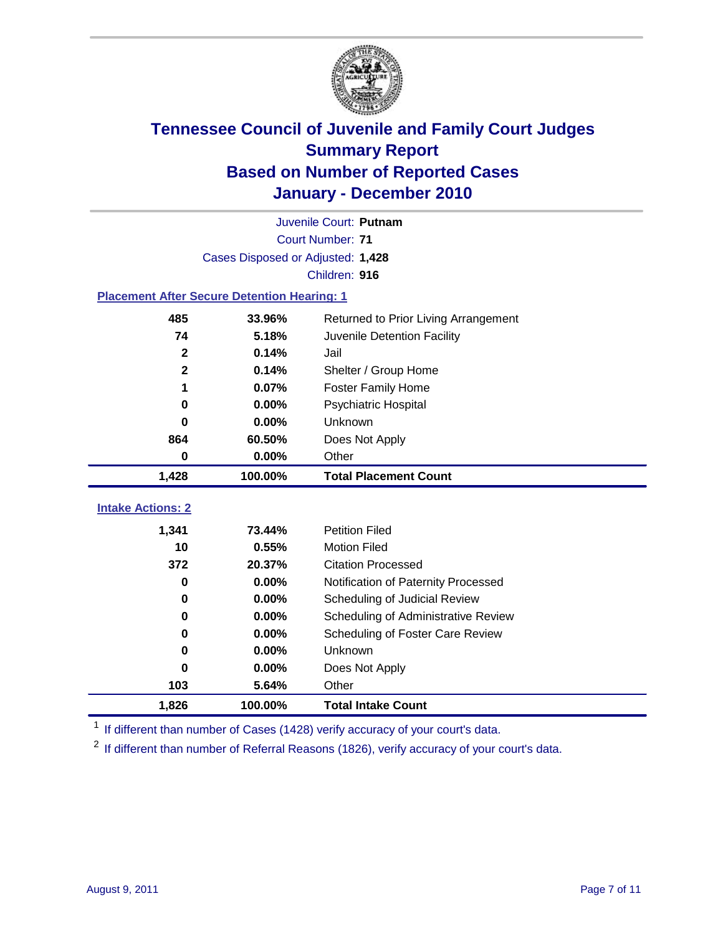

|                                                    | Juvenile Court: Putnam            |                                      |  |  |  |
|----------------------------------------------------|-----------------------------------|--------------------------------------|--|--|--|
|                                                    | <b>Court Number: 71</b>           |                                      |  |  |  |
|                                                    | Cases Disposed or Adjusted: 1,428 |                                      |  |  |  |
|                                                    |                                   | Children: 916                        |  |  |  |
| <b>Placement After Secure Detention Hearing: 1</b> |                                   |                                      |  |  |  |
| 485                                                | 33.96%                            | Returned to Prior Living Arrangement |  |  |  |
| 74                                                 | 5.18%                             | Juvenile Detention Facility          |  |  |  |
| $\mathbf{2}$                                       | 0.14%                             | Jail                                 |  |  |  |
| $\mathbf{2}$                                       | 0.14%                             | Shelter / Group Home                 |  |  |  |
| 1                                                  | 0.07%                             | <b>Foster Family Home</b>            |  |  |  |
| $\bf{0}$                                           | 0.00%                             | <b>Psychiatric Hospital</b>          |  |  |  |
| 0                                                  | 0.00%                             | Unknown                              |  |  |  |
| 864                                                | 60.50%                            | Does Not Apply                       |  |  |  |
| 0                                                  | 0.00%                             | Other                                |  |  |  |
| 1,428                                              | 100.00%                           | <b>Total Placement Count</b>         |  |  |  |
| <b>Intake Actions: 2</b>                           |                                   |                                      |  |  |  |
|                                                    |                                   |                                      |  |  |  |
| 1,341                                              | 73.44%                            | <b>Petition Filed</b>                |  |  |  |
| 10                                                 | 0.55%                             | <b>Motion Filed</b>                  |  |  |  |
| 372                                                | 20.37%                            | <b>Citation Processed</b>            |  |  |  |
| $\bf{0}$                                           | 0.00%                             | Notification of Paternity Processed  |  |  |  |
| $\mathbf 0$                                        | 0.00%                             | Scheduling of Judicial Review        |  |  |  |
| 0                                                  | 0.00%                             | Scheduling of Administrative Review  |  |  |  |
| 0                                                  | 0.00%                             | Scheduling of Foster Care Review     |  |  |  |
| $\bf{0}$                                           | 0.00%                             | Unknown                              |  |  |  |
| $\bf{0}$                                           | 0.00%                             | Does Not Apply                       |  |  |  |
| 103                                                | 5.64%                             | Other                                |  |  |  |
| 1,826                                              | 100.00%                           | <b>Total Intake Count</b>            |  |  |  |

<sup>1</sup> If different than number of Cases (1428) verify accuracy of your court's data.

<sup>2</sup> If different than number of Referral Reasons (1826), verify accuracy of your court's data.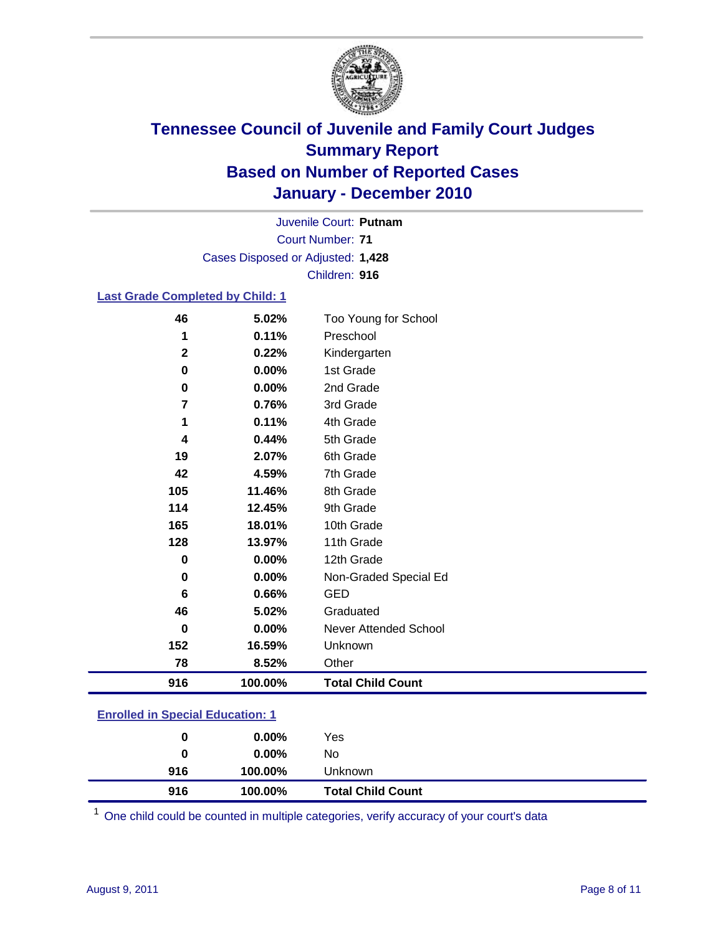

Court Number: **71** Juvenile Court: **Putnam** Cases Disposed or Adjusted: **1,428** Children: **916**

#### **Last Grade Completed by Child: 1**

| 128 | 13.97% | 11th Grade           |
|-----|--------|----------------------|
|     |        |                      |
|     |        |                      |
|     |        |                      |
|     |        |                      |
|     |        |                      |
| 165 | 18.01% | 10th Grade           |
|     |        |                      |
| 114 | 12.45% | 9th Grade            |
|     |        |                      |
| 105 | 11.46% | 8th Grade            |
|     |        |                      |
| 42  | 4.59%  | 7th Grade            |
| 19  | 2.07%  | 6th Grade            |
|     |        |                      |
| 4   | 0.44%  | 5th Grade            |
| 1   | 0.11%  | 4th Grade            |
|     |        |                      |
| 7   | 0.76%  | 3rd Grade            |
| 0   | 0.00%  | 2nd Grade            |
| 0   | 0.00%  | 1st Grade            |
|     |        |                      |
| 2   | 0.22%  | Kindergarten         |
| 1   | 0.11%  | Preschool            |
| 46  | 5.02%  | Too Young for School |
|     |        |                      |

### **Enrolled in Special Education: 1**

| 0   | $0.00\%$ | Yes                      |
|-----|----------|--------------------------|
| 0   | $0.00\%$ | No                       |
| 916 | 100.00%  | <b>Unknown</b>           |
| 916 | 100.00%  | <b>Total Child Count</b> |

One child could be counted in multiple categories, verify accuracy of your court's data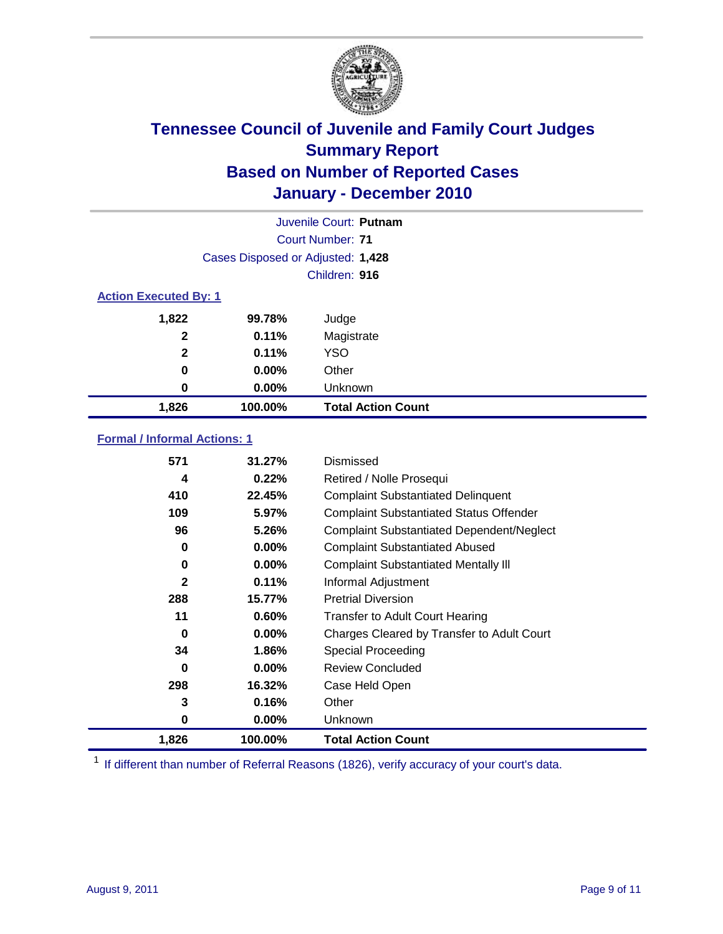

|                                   | Juvenile Court: Putnam       |                           |  |  |  |
|-----------------------------------|------------------------------|---------------------------|--|--|--|
|                                   |                              | Court Number: 71          |  |  |  |
| Cases Disposed or Adjusted: 1,428 |                              |                           |  |  |  |
| Children: 916                     |                              |                           |  |  |  |
|                                   | <b>Action Executed By: 1</b> |                           |  |  |  |
| 1,822                             | 99.78%                       | Judge                     |  |  |  |
| $\mathbf{2}$                      | 0.11%                        | Magistrate                |  |  |  |
| $\mathbf{2}$                      | 0.11%                        | <b>YSO</b>                |  |  |  |
| 0                                 | $0.00\%$                     | Other                     |  |  |  |
| 0                                 | 0.00%                        | Unknown                   |  |  |  |
| 1,826                             | 100.00%                      | <b>Total Action Count</b> |  |  |  |

#### **Formal / Informal Actions: 1**

| 571          | 31.27%   | Dismissed                                        |
|--------------|----------|--------------------------------------------------|
| 4            | 0.22%    | Retired / Nolle Prosequi                         |
| 410          | 22.45%   | <b>Complaint Substantiated Delinquent</b>        |
| 109          | 5.97%    | <b>Complaint Substantiated Status Offender</b>   |
| 96           | 5.26%    | <b>Complaint Substantiated Dependent/Neglect</b> |
| 0            | $0.00\%$ | <b>Complaint Substantiated Abused</b>            |
| 0            | $0.00\%$ | <b>Complaint Substantiated Mentally III</b>      |
| $\mathbf{2}$ | 0.11%    | Informal Adjustment                              |
| 288          | 15.77%   | <b>Pretrial Diversion</b>                        |
| 11           | 0.60%    | <b>Transfer to Adult Court Hearing</b>           |
| 0            | $0.00\%$ | Charges Cleared by Transfer to Adult Court       |
| 34           | 1.86%    | Special Proceeding                               |
| 0            | $0.00\%$ | <b>Review Concluded</b>                          |
| 298          | 16.32%   | Case Held Open                                   |
| 3            | 0.16%    | Other                                            |
| 0            | $0.00\%$ | Unknown                                          |
| 1,826        | 100.00%  | <b>Total Action Count</b>                        |

<sup>1</sup> If different than number of Referral Reasons (1826), verify accuracy of your court's data.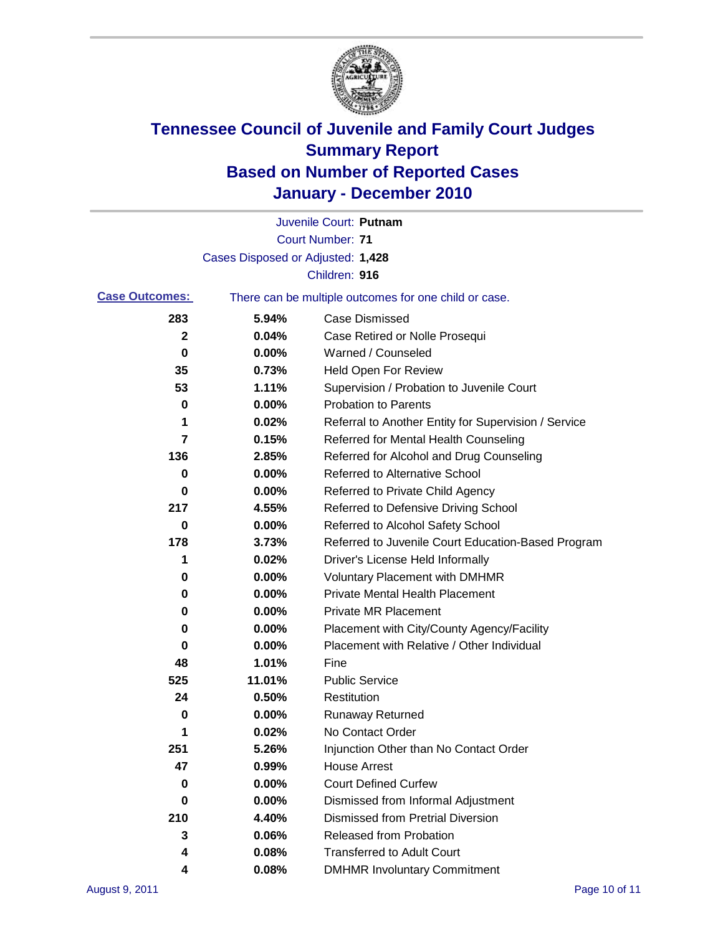

|                       |                                   | Juvenile Court: Putnam                                |
|-----------------------|-----------------------------------|-------------------------------------------------------|
|                       |                                   | <b>Court Number: 71</b>                               |
|                       | Cases Disposed or Adjusted: 1,428 |                                                       |
|                       |                                   | Children: 916                                         |
| <b>Case Outcomes:</b> |                                   | There can be multiple outcomes for one child or case. |
| 283                   | 5.94%                             | <b>Case Dismissed</b>                                 |
| $\mathbf{2}$          | 0.04%                             | Case Retired or Nolle Prosequi                        |
| 0                     | 0.00%                             | Warned / Counseled                                    |
| 35                    | 0.73%                             | <b>Held Open For Review</b>                           |
| 53                    | 1.11%                             | Supervision / Probation to Juvenile Court             |
| 0                     | 0.00%                             | <b>Probation to Parents</b>                           |
| 1                     | 0.02%                             | Referral to Another Entity for Supervision / Service  |
| 7                     | 0.15%                             | Referred for Mental Health Counseling                 |
| 136                   | 2.85%                             | Referred for Alcohol and Drug Counseling              |
| 0                     | 0.00%                             | <b>Referred to Alternative School</b>                 |
| 0                     | 0.00%                             | Referred to Private Child Agency                      |
| 217                   | 4.55%                             | Referred to Defensive Driving School                  |
| 0                     | 0.00%                             | Referred to Alcohol Safety School                     |
| 178                   | 3.73%                             | Referred to Juvenile Court Education-Based Program    |
| 1                     | 0.02%                             | Driver's License Held Informally                      |
| 0                     | 0.00%                             | <b>Voluntary Placement with DMHMR</b>                 |
| 0                     | 0.00%                             | <b>Private Mental Health Placement</b>                |
| 0                     | 0.00%                             | <b>Private MR Placement</b>                           |
| 0                     | 0.00%                             | Placement with City/County Agency/Facility            |
| 0                     | 0.00%                             | Placement with Relative / Other Individual            |
| 48                    | 1.01%                             | Fine                                                  |
| 525                   | 11.01%                            | <b>Public Service</b>                                 |
| 24                    | 0.50%                             | Restitution                                           |
| 0                     | 0.00%                             | <b>Runaway Returned</b>                               |
| 1                     | 0.02%                             | No Contact Order                                      |
| 251                   | 5.26%                             | Injunction Other than No Contact Order                |
| 47                    | 0.99%                             | <b>House Arrest</b>                                   |
| 0                     | 0.00%                             | <b>Court Defined Curfew</b>                           |
| 0                     | 0.00%                             | Dismissed from Informal Adjustment                    |
| 210                   | 4.40%                             | <b>Dismissed from Pretrial Diversion</b>              |
| 3                     | 0.06%                             | <b>Released from Probation</b>                        |
| 4                     | 0.08%                             | <b>Transferred to Adult Court</b>                     |
| 4                     | 0.08%                             | <b>DMHMR Involuntary Commitment</b>                   |